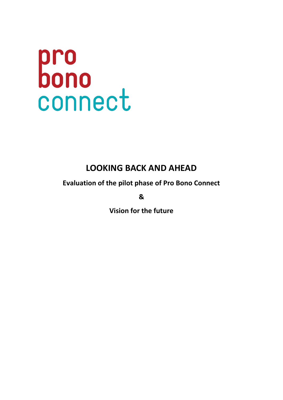# pro<br>bono<br>connect

# **LOOKING BACK AND AHEAD**

**Evaluation of the pilot phase of Pro Bono Connect**

**&** 

**Vision for the future**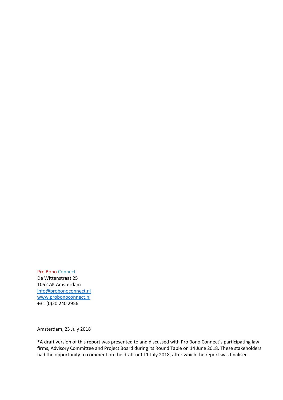Pro Bono Connect De Wittenstraat 25 1052 AK Amsterdam [info@probonoconnect.nl](mailto:info@probonoconnect.nl) [www.probonoconnect.nl](http://www.probonoconnect.nl/) +31 (0)20 240 2956

Amsterdam, 23 July 2018

\*A draft version of this report was presented to and discussed with Pro Bono Connect's participating law firms, Advisory Committee and Project Board during its Round Table on 14 June 2018. These stakeholders had the opportunity to comment on the draft until 1 July 2018, after which the report was finalised.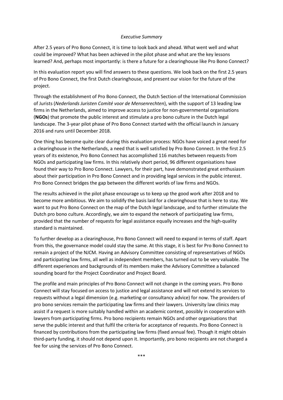#### *Executive Summary*

After 2.5 years of Pro Bono Connect, it is time to look back and ahead. What went well and what could be improved? What has been achieved in the pilot phase and what are the key lessons learned? And, perhaps most importantly: is there a future for a clearinghouse like Pro Bono Connect?

In this evaluation report you will find answers to these questions. We look back on the first 2.5 years of Pro Bono Connect, the first Dutch clearinghouse, and present our vision for the future of the project.

Through the establishment of Pro Bono Connect, the Dutch Section of the International Commission of Jurists (*Nederlands Juristen Comité voor de Mensenrechten*), with the support of 13 leading law firms in the Netherlands, aimed to improve access to justice for non-governmental organisations (**NGOs**) that promote the public interest and stimulate a pro bono culture in the Dutch legal landscape. The 3-year pilot phase of Pro Bono Connect started with the official launch in January 2016 and runs until December 2018.

One thing has become quite clear during this evaluation process: NGOs have voiced a great need for a clearinghouse in the Netherlands, a need that is well satisfied by Pro Bono Connect. In the first 2.5 years of its existence, Pro Bono Connect has accomplished 116 matches between requests from NGOs and participating law firms. In this relatively short period, 96 different organisations have found their way to Pro Bono Connect. Lawyers, for their part, have demonstrated great enthusiasm about their participation in Pro Bono Connect and in providing legal services in the public interest. Pro Bono Connect bridges the gap between the different worlds of law firms and NGOs.

The results achieved in the pilot phase encourage us to keep up the good work after 2018 and to become more ambitious. We aim to solidify the basis laid for a clearinghouse that is here to stay. We want to put Pro Bono Connect on the map of the Dutch legal landscape, and to further stimulate the Dutch pro bono culture. Accordingly, we aim to expand the network of participating law firms, provided that the number of requests for legal assistance equally increases and the high-quality standard is maintained.

To further develop as a clearinghouse, Pro Bono Connect will need to expand in terms of staff. Apart from this, the governance model could stay the same. At this stage, it is best for Pro Bono Connect to remain a project of the NJCM. Having an Advisory Committee consisting of representatives of NGOs and participating law firms, all well as independent members, has turned out to be very valuable. The different experiences and backgrounds of its members make the Advisory Committee a balanced sounding board for the Project Coordinator and Project Board.

The profile and main principles of Pro Bono Connect will not change in the coming years. Pro Bono Connect will stay focused on access to justice and legal assistance and will not extend its services to requests without a legal dimension (e.g. marketing or consultancy advice) for now. The providers of pro bono services remain the participating law firms and their lawyers. University law clinics may assist if a request is more suitably handled within an academic context, possibly in cooperation with lawyers from participating firms. Pro bono recipients remain NGOs and other organisations that serve the public interest and that fulfil the criteria for acceptance of requests. Pro Bono Connect is financed by contributions from the participating law firms (fixed annual fee). Though it might obtain third-party funding, it should not depend upon it. Importantly, pro bono recipients are not charged a fee for using the services of Pro Bono Connect.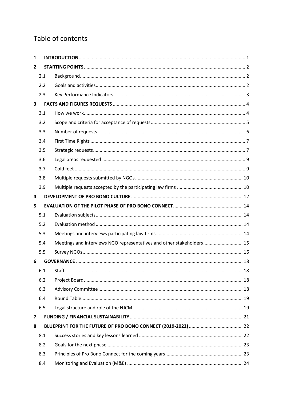# Table of contents

| 1                       |     |                                                                       |  |
|-------------------------|-----|-----------------------------------------------------------------------|--|
| $\overline{2}$          |     |                                                                       |  |
|                         | 2.1 |                                                                       |  |
|                         | 2.2 |                                                                       |  |
|                         | 2.3 |                                                                       |  |
| $\overline{\mathbf{3}}$ |     |                                                                       |  |
|                         | 3.1 |                                                                       |  |
|                         | 3.2 |                                                                       |  |
|                         | 3.3 |                                                                       |  |
|                         | 3.4 |                                                                       |  |
|                         | 3.5 |                                                                       |  |
|                         | 3.6 |                                                                       |  |
|                         | 3.7 |                                                                       |  |
|                         | 3.8 |                                                                       |  |
|                         | 3.9 |                                                                       |  |
| 4                       |     |                                                                       |  |
| 5                       |     |                                                                       |  |
|                         | 5.1 |                                                                       |  |
|                         | 5.2 |                                                                       |  |
|                         | 5.3 |                                                                       |  |
|                         | 5.4 | Meetings and interviews NGO representatives and other stakeholders 15 |  |
|                         | 5.5 |                                                                       |  |
| 6                       |     |                                                                       |  |
|                         | 6.1 |                                                                       |  |
|                         | 6.2 |                                                                       |  |
|                         | 6.3 |                                                                       |  |
|                         | 6.4 |                                                                       |  |
|                         | 6.5 |                                                                       |  |
| 7                       |     |                                                                       |  |
| 8                       |     |                                                                       |  |
|                         | 8.1 |                                                                       |  |
|                         | 8.2 |                                                                       |  |
|                         |     |                                                                       |  |
|                         | 8.3 |                                                                       |  |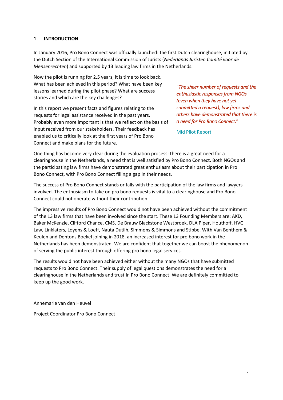#### <span id="page-6-0"></span>**1 INTRODUCTION**

In January 2016, Pro Bono Connect was officially launched: the first Dutch clearinghouse, initiated by the Dutch Section of the International Commission of Jurists (*Nederlands Juristen Comité voor de Mensenrechten*) and supported by 13 leading law firms in the Netherlands.

Now the pilot is running for 2.5 years, it is time to look back. What has been achieved in this period? What have been key lessons learned during the pilot phase? What are success stories and which are the key challenges?

In this report we present facts and figures relating to the requests for legal assistance received in the past years. Probably even more important is that we reflect on the basis of input received from our stakeholders. Their feedback has enabled us to critically look at the first years of Pro Bono Connect and make plans for the future.

"*The sheer number of requests and the enthusiastic responses from NGOs (even when they have not yet submitted a request), law firms and others have demonstrated that there is a need for Pro Bono Connect.*"

Mid Pilot Report

One thing has become very clear during the evaluation process: there is a great need for a clearinghouse in the Netherlands, a need that is well satisfied by Pro Bono Connect. Both NGOs and the participating law firms have demonstrated great enthusiasm about their participation in Pro Bono Connect, with Pro Bono Connect filling a gap in their needs.

The success of Pro Bono Connect stands or falls with the participation of the law firms and lawyers involved. The enthusiasm to take on pro bono requests is vital to a clearinghouse and Pro Bono Connect could not operate without their contribution.

The impressive results of Pro Bono Connect would not have been achieved without the commitment of the 13 law firms that have been involved since the start. These 13 Founding Members are: AKD, Baker McKenzie, Clifford Chance, CMS, De Brauw Blackstone Westbroek, DLA Piper, Houthoff, HVG Law, Linklaters, Loyens & Loeff, Nauta Dutilh, Simmons & Simmons and Stibbe. With Van Benthem & Keulen and Dentons Boekel joining in 2018, an increased interest for pro bono work in the Netherlands has been demonstrated. We are confident that together we can boost the phenomenon of serving the public interest through offering pro bono legal services.

The results would not have been achieved either without the many NGOs that have submitted requests to Pro Bono Connect. Their supply of legal questions demonstrates the need for a clearinghouse in the Netherlands and trust in Pro Bono Connect. We are definitely committed to keep up the good work.

Annemarie van den Heuvel

Project Coordinator Pro Bono Connect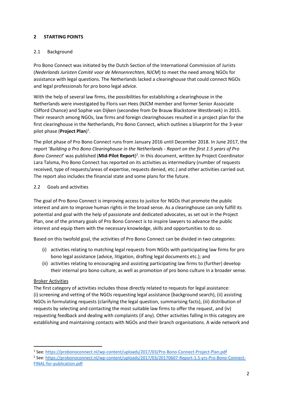# <span id="page-7-0"></span>**2 STARTING POINTS**

### <span id="page-7-1"></span>2.1 Background

Pro Bono Connect was initiated by the Dutch Section of the International Commission of Jurists (*Nederlands Juristen Comité voor de Mensenrechten, NJCM*) to meet the need among NGOs for assistance with legal questions. The Netherlands lacked a clearinghouse that could connect NGOs and legal professionals for pro bono legal advice.

With the help of several law firms, the possibilities for establishing a clearinghouse in the Netherlands were investigated by Floris van Hees (NJCM member and former Senior Associate Clifford Chance) and Sophie van Dijken (secondee from De Brauw Blackstone Westbroek) in 2015. Their research among NGOs, law firms and foreign clearinghouses resulted in a project plan for the first clearinghouse in the Netherlands, Pro Bono Connect, which outlines a blueprint for the 3-year pilot phase (**Project Plan**) 1 .

The pilot phase of Pro Bono Connect runs from January 2016 until December 2018. In June 2017, the report '*Building a Pro Bono Clearinghouse in the Netherlands - Report on the first 1.5 years of Pro Bono Connect*' was published (**Mid-Pilot Report**) 2 . In this document, written by Project Coordinator Lara Talsma, Pro Bono Connect has reported on its activities as intermediary (number of requests received, type of requests/areas of expertise, requests denied, etc.) and other activities carried out. The report also includes the financial state and some plans for the future.

#### <span id="page-7-2"></span>2.2 Goals and activities

The goal of Pro Bono Connect is improving access to justice for NGOs that promote the public interest and aim to improve human rights in the broad sense. As a clearinghouse can only fulfill its potential and goal with the help of passionate and dedicated advocates, as set out in the Project Plan, one of the primary goals of Pro Bono Connect is to inspire lawyers to advance the public interest and equip them with the necessary knowledge, skills and opportunities to do so.

Based on this twofold goal, the activities of Pro Bono Connect can be divided in two categories:

- (i) activities relating to matching legal requests from NGOs with participating law firms for pro bono legal assistance (advice, litigation, drafting legal documents etc.); and
- (ii) activities relating to encouraging and assisting participating law firms to (further) develop their internal pro bono culture, as well as promotion of pro bono culture in a broader sense.

#### Broker Activities

**.** 

The first category of activities includes those directly related to requests for legal assistance: (i) screening and vetting of the NGOs requesting legal assistance (background search), (ii) assisting NGOs in formulating requests (clarifying the legal question, summarising facts), (iii) distribution of requests by selecting and contacting the most suitable law firms to offer the request, and (iv) requesting feedback and dealing with complaints (if any). Other activities falling in this category are establishing and maintaining contacts with NGOs and their branch organisations. A wide network and

<sup>&</sup>lt;sup>1</sup> See:<https://probonoconnect.nl/wp-content/uploads/2017/03/Pro-Bono-Connect-Project-Plan.pdf>

<sup>&</sup>lt;sup>2</sup> See: [https://probonoconnect.nl/wp-content/uploads/2017/03/20170607-Report-1.5-yrs-Pro-Bono-Connect-](https://probonoconnect.nl/wp-content/uploads/2017/03/20170607-Report-1.5-yrs-Pro-Bono-Connect-FINAL-for-publication.pdf)[FINAL-for-publication.pdf](https://probonoconnect.nl/wp-content/uploads/2017/03/20170607-Report-1.5-yrs-Pro-Bono-Connect-FINAL-for-publication.pdf)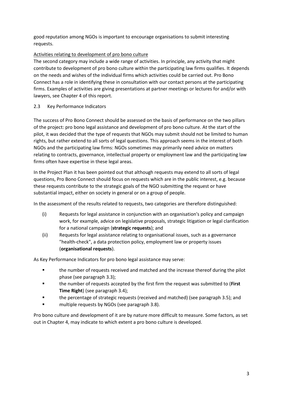good reputation among NGOs is important to encourage organisations to submit interesting requests.

# Activities relating to development of pro bono culture

The second category may include a wide range of activities. In principle, any activity that might contribute to development of pro bono culture within the participating law firms qualifies. It depends on the needs and wishes of the individual firms which activities could be carried out. Pro Bono Connect has a role in identifying these in consultation with our contact persons at the participating firms. Examples of activities are giving presentations at partner meetings or lectures for and/or with lawyers, see Chapter [4](#page-17-0) of this report.

# <span id="page-8-0"></span>2.3 Key Performance Indicators

The success of Pro Bono Connect should be assessed on the basis of performance on the two pillars of the project: pro bono legal assistance and development of pro bono culture. At the start of the pilot, it was decided that the type of requests that NGOs may submit should not be limited to human rights, but rather extend to all sorts of legal questions. This approach seems in the interest of both NGOs and the participating law firms: NGOs sometimes may primarily need advice on matters relating to contracts, governance, intellectual property or employment law and the participating law firms often have expertise in these legal areas.

In the Project Plan it has been pointed out that although requests may extend to all sorts of legal questions, Pro Bono Connect should focus on requests which are in the public interest, e.g. because these requests contribute to the strategic goals of the NGO submitting the request or have substantial impact, either on society in general or on a group of people.

In the assessment of the results related to requests, two categories are therefore distinguished:

- (i) Requests for legal assistance in conjunction with an organisation's policy and campaign work, for example, advice on legislative proposals, strategic litigation or legal clarification for a national campaign (**strategic requests**); and
- (ii) Requests for legal assistance relating to organisational issues, such as a governance "health-check", a data protection policy, employment law or property issues (**organisational requests**).

As Key Performance Indicators for pro bono legal assistance may serve:

- the number of requests received and matched and the increase thereof during the pilot phase (see paragraph [3.3\)](#page-11-0);
- the number of requests accepted by the first firm the request was submitted to (**First Time Right**) (see paragraph [3.4\)](#page-12-0);
- the percentage of strategic requests (received and matched) (see paragraph [3.5\)](#page-12-1); and
- multiple requests by NGOs (see paragrap[h 3.8\)](#page-15-0).

Pro bono culture and development of it are by nature more difficult to measure. Some factors, as set out in Chapte[r 4,](#page-17-0) may indicate to which extent a pro bono culture is developed.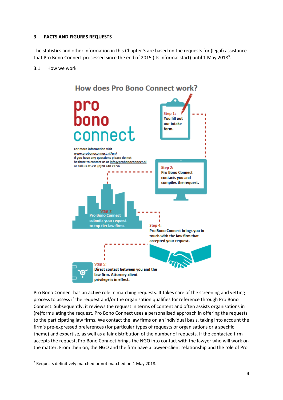#### <span id="page-9-0"></span>**3 FACTS AND FIGURES REQUESTS**

The statistics and other information in this Chapter [3](#page-9-0) are based on the requests for (legal) assistance that Pro Bono Connect processed since the end of 2015 (its informal start) until 1 May 2018<sup>3</sup>.

#### <span id="page-9-1"></span>3.1 How we work



Pro Bono Connect has an active role in matching requests. It takes care of the screening and vetting process to assess if the request and/or the organisation qualifies for reference through Pro Bono Connect. Subsequently, it reviews the request in terms of content and often assists organisations in (re)formulating the request. Pro Bono Connect uses a personalised approach in offering the requests to the participating law firms. We contact the law firms on an individual basis, taking into account the firm's pre-expressed preferences (for particular types of requests or organisations or a specific theme) and expertise, as well as a fair distribution of the number of requests. If the contacted firm accepts the request, Pro Bono Connect brings the NGO into contact with the lawyer who will work on the matter. From then on, the NGO and the firm have a lawyer-client relationship and the role of Pro

1

<sup>&</sup>lt;sup>3</sup> Requests definitively matched or not matched on 1 May 2018.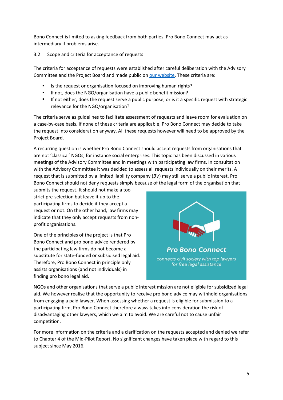Bono Connect is limited to asking feedback from both parties. Pro Bono Connect may act as intermediary if problems arise.

# <span id="page-10-0"></span>3.2 Scope and criteria for acceptance of requests

The criteria for acceptance of requests were established after careful deliberation with the Advisory Committee and the Project Board and made public on [our website.](https://probonoconnect.nl/en/) These criteria are:

- Is the request or organisation focused on improving human rights?
- If not, does the NGO/organisation have a public benefit mission?
- **•** If not either, does the request serve a public purpose, or is it a specific request with strategic relevance for the NGO/organisation?

The criteria serve as guidelines to facilitate assessment of requests and leave room for evaluation on a case-by-case basis. If none of these criteria are applicable, Pro Bono Connect may decide to take the request into consideration anyway. All these requests however will need to be approved by the Project Board.

A recurring question is whether Pro Bono Connect should accept requests from organisations that are not 'classical' NGOs, for instance social enterprises. This topic has been discussed in various meetings of the Advisory Committee and in meetings with participating law firms. In consultation with the Advisory Committee it was decided to assess all requests individually on their merits. A request that is submitted by a limited liability company (*BV*) may still serve a public interest. Pro Bono Connect should not deny requests simply because of the legal form of the organisation that

submits the request. It should not make a too strict pre-selection but leave it up to the participating firms to decide if they accept a request or not. On the other hand, law firms may indicate that they only accept requests from nonprofit organisations.

One of the principles of the project is that Pro Bono Connect and pro bono advice rendered by the participating law firms do not become a substitute for state-funded or subsidised legal aid. Therefore, Pro Bono Connect in principle only assists organisations (and not individuals) in finding pro bono legal aid.



NGOs and other organisations that serve a public interest mission are not eligible for subsidized legal aid. We however realise that the opportunity to receive pro bono advice may withhold organisations from engaging a paid lawyer. When assessing whether a request is eligible for submission to a participating firm, Pro Bono Connect therefore always takes into consideration the risk of disadvantaging other lawyers, which we aim to avoid. We are careful not to cause unfair competition.

For more information on the criteria and a clarification on the requests accepted and denied we refer to Chapter 4 of the Mid-Pilot Report. No significant changes have taken place with regard to this subject since May 2016.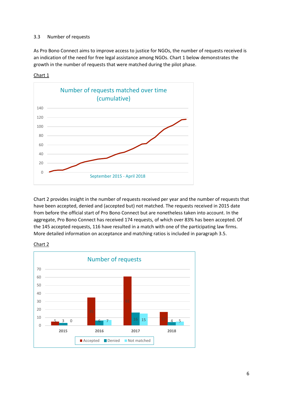#### <span id="page-11-0"></span>3.3 Number of requests

As Pro Bono Connect aims to improve access to justice for NGOs, the number of requests received is an indication of the need for free legal assistance among NGOs. Chart 1 below demonstrates the growth in the number of requests that were matched during the pilot phase.



Chart 1

Chart 2 provides insight in the number of requests received per year and the number of requests that have been accepted, denied and (accepted but) not matched. The requests received in 2015 date from before the official start of Pro Bono Connect but are nonetheless taken into account. In the aggregate, Pro Bono Connect has received 174 requests, of which over 83% has been accepted. Of the 145 accepted requests, 116 have resulted in a match with one of the participating law firms. More detailed information on acceptance and matching ratios is included in paragrap[h 3.5.](#page-12-1)



Chart 2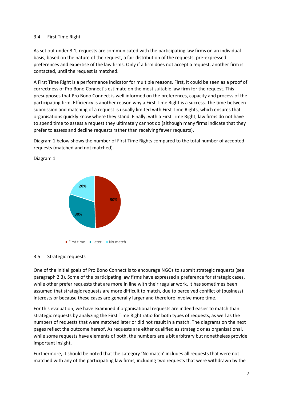#### <span id="page-12-0"></span>3.4 First Time Right

As set out under [3.1,](#page-9-1) requests are communicated with the participating law firms on an individual basis, based on the nature of the request, a fair distribution of the requests, pre-expressed preferences and expertise of the law firms. Only if a firm does not accept a request, another firm is contacted, until the request is matched.

A First Time Right is a performance indicator for multiple reasons. First, it could be seen as a proof of correctness of Pro Bono Connect's estimate on the most suitable law firm for the request. This presupposes that Pro Bono Connect is well informed on the preferences, capacity and process of the participating firm. Efficiency is another reason why a First Time Right is a success. The time between submission and matching of a request is usually limited with First Time Rights, which ensures that organisations quickly know where they stand. Finally, with a First Time Right, law firms do not have to spend time to assess a request they ultimately cannot do (although many firms indicate that they prefer to assess and decline requests rather than receiving fewer requests).

Diagram 1 below shows the number of First Time Rights compared to the total number of accepted requests (matched and not matched).



#### Diagram 1

#### <span id="page-12-1"></span>3.5 Strategic requests

One of the initial goals of Pro Bono Connect is to encourage NGOs to submit strategic requests (see paragraph [2.3\)](#page-8-0). Some of the participating law firms have expressed a preference for strategic cases, while other prefer requests that are more in line with their regular work. It has sometimes been assumed that strategic requests are more difficult to match, due to perceived conflict of (business) interests or because these cases are generally larger and therefore involve more time.

For this evaluation, we have examined if organisational requests are indeed easier to match than strategic requests by analyzing the First Time Right ratio for both types of requests, as well as the numbers of requests that were matched later or did not result in a match. The diagrams on the next pages reflect the outcome hereof. As requests are either qualified as strategic or as organisational, while some requests have elements of both, the numbers are a bit arbitrary but nonetheless provide important insight.

Furthermore, it should be noted that the category 'No match' includes all requests that were not matched with any of the participating law firms, including two requests that were withdrawn by the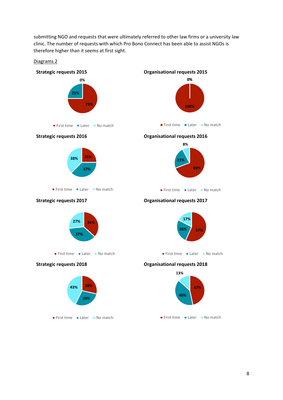submitting NGO and requests that were ultimately referred to other law firms or a university law clinic. The number of requests with which Pro Bono Connect has been able to assist NGOs is therefore higher than it seems at first sight.

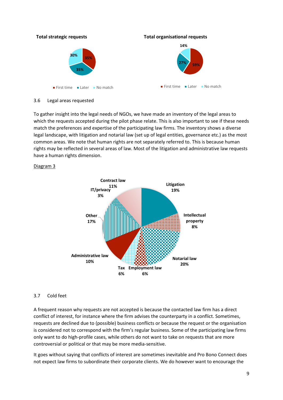

<span id="page-14-0"></span>3.6 Legal areas requested

To gather insight into the legal needs of NGOs, we have made an inventory of the legal areas to which the requests accepted during the pilot phase relate. This is also important to see if these needs match the preferences and expertise of the participating law firms. The inventory shows a diverse legal landscape, with litigation and notarial law (set up of legal entities, governance etc.) as the most common areas. We note that human rights are not separately referred to. This is because human rights may be reflected in several areas of law. Most of the litigation and administrative law requests have a human rights dimension.

#### Diagram 3



# <span id="page-14-1"></span>3.7 Cold feet

A frequent reason why requests are not accepted is because the contacted law firm has a direct conflict of interest, for instance where the firm advises the counterparty in a conflict. Sometimes, requests are declined due to (possible) business conflicts or because the request or the organisation is considered not to correspond with the firm's regular business. Some of the participating law firms only want to do high-profile cases, while others do not want to take on requests that are more controversial or political or that may be more media-sensitive.

It goes without saying that conflicts of interest are sometimes inevitable and Pro Bono Connect does not expect law firms to subordinate their corporate clients. We do however want to encourage the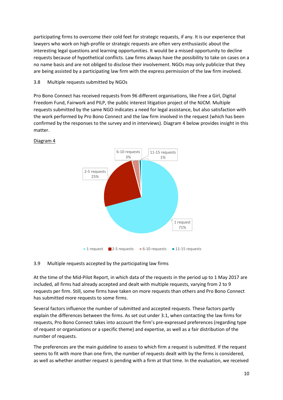participating firms to overcome their cold feet for strategic requests, if any. It is our experience that lawyers who work on high-profile or strategic requests are often very enthusiastic about the interesting legal questions and learning opportunities. It would be a missed opportunity to decline requests because of hypothetical conflicts. Law firms always have the possibility to take on cases on a no name basis and are not obliged to disclose their involvement. NGOs may only publicize that they are being assisted by a participating law firm with the express permission of the law firm involved.

# <span id="page-15-0"></span>3.8 Multiple requests submitted by NGOs

Pro Bono Connect has received requests from 96 different organisations, like Free a Girl, Digital Freedom Fund, Fairwork and PILP, the public interest litigation project of the NJCM. Multiple requests submitted by the same NGO indicates a need for legal assistance, but also satisfaction with the work performed by Pro Bono Connect and the law firm involved in the request (which has been confirmed by the responses to the survey and in interviews). Diagram 4 below provides insight in this matter.



# Diagram 4

#### <span id="page-15-1"></span>3.9 Multiple requests accepted by the participating law firms

At the time of the Mid-Pilot Report, in which data of the requests in the period up to 1 May 2017 are included, all firms had already accepted and dealt with multiple requests, varying from 2 to 9 requests per firm. Still, some firms have taken on more requests than others and Pro Bono Connect has submitted more requests to some firms.

Several factors influence the number of submitted and accepted requests. These factors partly explain the differences between the firms. As set out under [3.1,](#page-9-1) when contacting the law firms for requests, Pro Bono Connect takes into account the firm's pre-expressed preferences (regarding type of request or organisations or a specific theme) and expertise, as well as a fair distribution of the number of requests.

The preferences are the main guideline to assess to which firm a request is submitted. If the request seems to fit with more than one firm, the number of requests dealt with by the firms is considered, as well as whether another request is pending with a firm at that time. In the evaluation, we received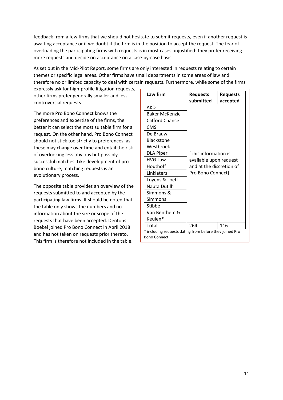feedback from a few firms that we should not hesitate to submit requests, even if another request is awaiting acceptance or if we doubt if the firm is in the position to accept the request. The fear of overloading the participating firms with requests is in most cases unjustified: they prefer receiving more requests and decide on acceptance on a case-by-case basis.

As set out in the Mid-Pilot Report, some firms are only interested in requests relating to certain themes or specific legal areas. Other firms have small departments in some areas of law and therefore no or limited capacity to deal with certain requests. Furthermore, while some of the firms

expressly ask for high-profile litigation requests, other firms prefer generally smaller and less controversial requests.

The more Pro Bono Connect knows the preferences and expertise of the firms, the better it can select the most suitable firm for a request. On the other hand, Pro Bono Connect should not stick too strictly to preferences, as these may change over time and entail the risk of overlooking less obvious but possibly successful matches. Like development of pro bono culture, matching requests is an evolutionary process.

The opposite table provides an overview of the requests submitted to and accepted by the participating law firms. It should be noted that the table only shows the numbers and no information about the size or scope of the requests that have been accepted. Dentons Boekel joined Pro Bono Connect in April 2018 and has not taken on requests prior thereto. This firm is therefore not included in the table.

| Law firm                                                | <b>Requests</b>                                                                                 | <b>Requests</b> |  |  |  |  |
|---------------------------------------------------------|-------------------------------------------------------------------------------------------------|-----------------|--|--|--|--|
|                                                         | submitted                                                                                       | accepted        |  |  |  |  |
| AKD                                                     |                                                                                                 |                 |  |  |  |  |
| <b>Baker McKenzie</b>                                   |                                                                                                 |                 |  |  |  |  |
| <b>Clifford Chance</b>                                  |                                                                                                 |                 |  |  |  |  |
| <b>CMS</b>                                              |                                                                                                 |                 |  |  |  |  |
| De Brauw                                                |                                                                                                 |                 |  |  |  |  |
| <b>Blackstone</b>                                       |                                                                                                 |                 |  |  |  |  |
| Westbroek                                               |                                                                                                 |                 |  |  |  |  |
| <b>DLA Piper</b>                                        | [This information is<br>available upon request<br>and at the discretion of<br>Pro Bono Connect] |                 |  |  |  |  |
| <b>HVG Law</b>                                          |                                                                                                 |                 |  |  |  |  |
| Houthoff                                                |                                                                                                 |                 |  |  |  |  |
| Linklaters                                              |                                                                                                 |                 |  |  |  |  |
| Loyens & Loeff                                          |                                                                                                 |                 |  |  |  |  |
| Nauta Dutilh                                            |                                                                                                 |                 |  |  |  |  |
| Simmons &                                               |                                                                                                 |                 |  |  |  |  |
| Simmons                                                 |                                                                                                 |                 |  |  |  |  |
| Stibbe                                                  |                                                                                                 |                 |  |  |  |  |
| Van Benthem &                                           |                                                                                                 |                 |  |  |  |  |
| Keulen*                                                 |                                                                                                 |                 |  |  |  |  |
| Total                                                   | 264                                                                                             | 116             |  |  |  |  |
| * including requests dating from before they joined Pro |                                                                                                 |                 |  |  |  |  |
| <b>Bono Connect</b>                                     |                                                                                                 |                 |  |  |  |  |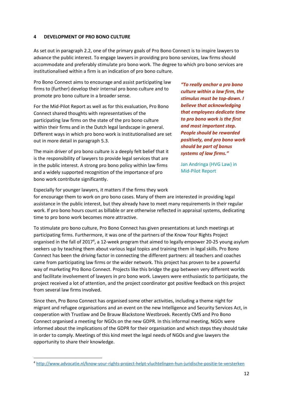#### <span id="page-17-0"></span>**4 DEVELOPMENT OF PRO BONO CULTURE**

As set out in paragraph [2.2,](#page-7-2) one of the primary goals of Pro Bono Connect is to inspire lawyers to advance the public interest. To engage lawyers in providing pro bono services, law firms should accommodate and preferably stimulate pro bono work. The degree to which pro bono services are institutionalised within a firm is an indication of pro bono culture.

Pro Bono Connect aims to encourage and assist participating law firms to (further) develop their internal pro bono culture and to promote pro bono culture in a broader sense.

For the Mid-Pilot Report as well as for this evaluation, Pro Bono Connect shared thoughts with representatives of the participating law firms on the state of the pro bono culture within their firms and in the Dutch legal landscape in general. Different ways in which pro bono work is institutionalised are set out in more detail in paragraph [5.3.](#page-19-3)

The main driver of pro bono culture is a deeply felt belief that it is the responsibility of lawyers to provide legal services that are in the public interest. A strong pro bono policy within law firms and a widely supported recognition of the importance of pro bono work contribute significantly.

*"To really anchor a pro bono culture within a law firm, the stimulus must be top-down. I believe that acknowledging that employees dedicate time to pro bono work is the first and most important step. People should be rewarded positively, and pro bono work should be part of bonus systems of law firms."*

Jan Andringa (HVG Law) in Mid-Pilot Report

Especially for younger lawyers, it matters if the firms they work

1

for encourage them to work on pro bono cases. Many of them are interested in providing legal assistance in the public interest, but they already have to meet many requirements in their regular work. If pro bono hours count as billable or are otherwise reflected in appraisal systems, dedicating time to pro bono work becomes more attractive.

To stimulate pro bono culture, Pro Bono Connect has given presentations at lunch meetings at participating firms. Furthermore, it was one of the partners of the Know Your Rights Project organised in the fall of 2017<sup>4</sup>, a 12-week program that aimed to legally empower 20-25 young asylum seekers up by teaching them about various legal topics and training them in legal skills. Pro Bono Connect has been the driving factor in connecting the different partners: all teachers and coaches came from participating law firms or the wider network. This project has proven to be a powerful way of marketing Pro Bono Connect. Projects like this bridge the gap between very different worlds and facilitate involvement of lawyers in pro bono work. Lawyers were enthusiastic to participate, the project received a lot of attention, and the project coordinator got positive feedback on this project from several law firms involved.

Since then, Pro Bono Connect has organised some other activities, including a theme night for migrant and refugee organisations and an event on the new Intelligence and Security Services Act, in cooperation with Trustlaw and De Brauw Blackstone Westbroek. Recently CMS and Pro Bono Connect organised a meeting for NGOs on the new GDPR. In this informal meeting, NGOs were informed about the implications of the GDPR for their organisation and which steps they should take in order to comply. Meetings of this kind meet the legal needs of NGOs and give lawyers the opportunity to share their knowledge.

<sup>4</sup> <http://www.advocatie.nl/know-your-rights-project-helpt-vluchtelingen-hun-juridische-positie-te-versterken>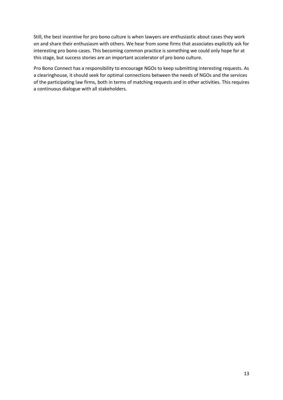Still, the best incentive for pro bono culture is when lawyers are enthusiastic about cases they work on and share their enthusiasm with others. We hear from some firms that associates explicitly ask for interesting pro bono cases. This becoming common practice is something we could only hope for at this stage, but success stories are an important accelerator of pro bono culture.

Pro Bono Connect has a responsibility to encourage NGOs to keep submitting interesting requests. As a clearinghouse, it should seek for optimal connections between the needs of NGOs and the services of the participating law firms, both in terms of matching requests and in other activities. This requires a continuous dialogue with all stakeholders.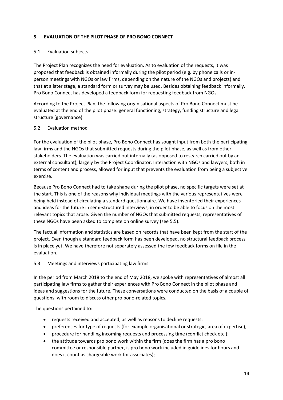#### <span id="page-19-0"></span>**5 EVALUATION OF THE PILOT PHASE OF PRO BONO CONNECT**

#### <span id="page-19-1"></span>5.1 Evaluation subjects

The Project Plan recognizes the need for evaluation. As to evaluation of the requests, it was proposed that feedback is obtained informally during the pilot period (e.g. by phone calls or inperson meetings with NGOs or law firms, depending on the nature of the NGOs and projects) and that at a later stage, a standard form or survey may be used. Besides obtaining feedback informally, Pro Bono Connect has developed a feedback form for requesting feedback from NGOs.

According to the Project Plan, the following organisational aspects of Pro Bono Connect must be evaluated at the end of the pilot phase: general functioning, strategy, funding structure and legal structure (governance).

#### <span id="page-19-2"></span>5.2 Evaluation method

For the evaluation of the pilot phase, Pro Bono Connect has sought input from both the participating law firms and the NGOs that submitted requests during the pilot phase, as well as from other stakeholders. The evaluation was carried out internally (as opposed to research carried out by an external consultant), largely by the Project Coordinator. Interaction with NGOs and lawyers, both in terms of content and process, allowed for input that prevents the evaluation from being a subjective exercise.

Because Pro Bono Connect had to take shape during the pilot phase, no specific targets were set at the start. This is one of the reasons why individual meetings with the various representatives were being held instead of circulating a standard questionnaire. We have inventoried their experiences and ideas for the future in semi-structured interviews, in order to be able to focus on the most relevant topics that arose. Given the number of NGOs that submitted requests, representatives of these NGOs have been asked to complete on online survey (se[e 5.5\)](#page-21-0).

The factual information and statistics are based on records that have been kept from the start of the project. Even though a standard feedback form has been developed, no structural feedback process is in place yet. We have therefore not separately assessed the few feedback forms on file in the evaluation.

#### <span id="page-19-3"></span>5.3 Meetings and interviews participating law firms

In the period from March 2018 to the end of May 2018, we spoke with representatives of almost all participating law firms to gather their experiences with Pro Bono Connect in the pilot phase and ideas and suggestions for the future. These conversations were conducted on the basis of a couple of questions, with room to discuss other pro bono-related topics.

The questions pertained to:

- requests received and accepted, as well as reasons to decline requests;
- preferences for type of requests (for example organisational or strategic, area of expertise);
- procedure for handling incoming requests and processing time (conflict check etc.);
- the attitude towards pro bono work within the firm (does the firm has a pro bono committee or responsible partner, is pro bono work included in guidelines for hours and does it count as chargeable work for associates);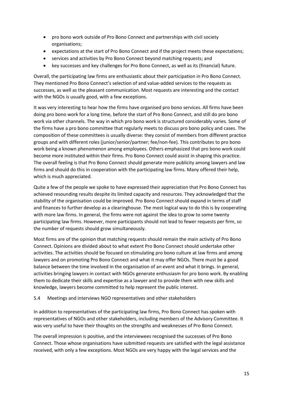- pro bono work outside of Pro Bono Connect and partnerships with civil society organisations;
- expectations at the start of Pro Bono Connect and if the project meets these expectations;
- services and activities by Pro Bono Connect beyond matching requests; and
- key successes and key challenges for Pro Bono Connect, as well as its (financial) future.

Overall, the participating law firms are enthusiastic about their participation in Pro Bono Connect. They mentioned Pro Bono Connect's selection of and value-added services to the requests as successes, as well as the pleasant communication. Most requests are interesting and the contact with the NGOs is usually good, with a few exceptions.

It was very interesting to hear how the firms have organised pro bono services. All firms have been doing pro bono work for a long time, before the start of Pro Bono Connect, and still do pro bono work via other channels. The way in which pro bono work is structured considerably varies. Some of the firms have a pro bono committee that regularly meets to discuss pro bono policy and cases. The composition of these committees is usually diverse: they consist of members from different practice groups and with different roles (junior/senior/partner; fee/non-fee). This contributes to pro bono work being a known phenomenon among employees. Others emphasized that pro bono work could become more instituted within their firms. Pro Bono Connect could assist in shaping this practice. The overall feeling is that Pro Bono Connect should generate more publicity among lawyers and law firms and should do this in cooperation with the participating law firms. Many offered their help, which is much appreciated.

Quite a few of the people we spoke to have expressed their appreciation that Pro Bono Connect has achieved resounding results despite its limited capacity and resources. They acknowledged that the stability of the organisation could be improved. Pro Bono Connect should expand in terms of staff and finances to further develop as a clearinghouse. The most logical way to do this is by cooperating with more law firms. In general, the firms were not against the idea to grow to some twenty participating law firms. However, more participants should not lead to fewer requests per firm, so the number of requests should grow simultaneously.

Most firms are of the opinion that matching requests should remain the main activity of Pro Bono Connect. Opinions are divided about to what extent Pro Bono Connect should undertake other activities. The activities should be focused on stimulating pro bono culture at law firms and among lawyers and on promoting Pro Bono Connect and what it may offer NGOs. There must be a good balance between the time involved in the organisation of an event and what it brings. In general, activities bringing lawyers in contact with NGOs generate enthusiasm for pro bono work. By enabling them to dedicate their skills and expertise as a lawyer and to provide them with new skills and knowledge, lawyers become committed to help represent the public interest.

#### <span id="page-20-0"></span>5.4 Meetings and interviews NGO representatives and other stakeholders

In addition to representatives of the participating law firms, Pro Bono Connect has spoken with representatives of NGOs and other stakeholders, including members of the Advisory Committee. It was very useful to have their thoughts on the strengths and weaknesses of Pro Bono Connect.

The overall impression is positive, and the interviewees recognised the successes of Pro Bono Connect. Those whose organisations have submitted requests are satisfied with the legal assistance received, with only a few exceptions. Most NGOs are very happy with the legal services and the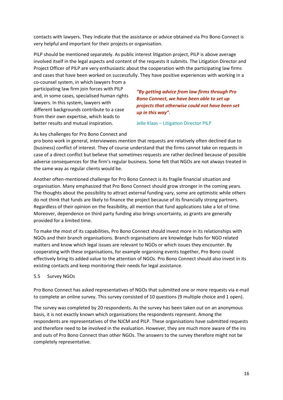contacts with lawyers. They indicate that the assistance or advice obtained via Pro Bono Connect is very helpful and important for their projects or organisation.

PILP should be mentioned separately. As public interest litigation project, PILP is above average involved itself in the legal aspects and content of the requests it submits. The Litigation Director and Project Officer of PILP are very enthusiastic about the cooperation with the participating law firms and cases that have been worked on successfully. They have positive experiences with working in a

co-counsel system, in which lawyers from a participating law firm join forces with PILP and, in some cases, specialised human rights lawyers. In this system, lawyers with different backgrounds contribute to a case from their own expertise, which leads to better results and mutual inspiration.

*"By getting advice from law firms through Pro Bono Connect, we have been able to set up projects that otherwise could not have been set up in this way".*

Jelle Klaas – Litigation Director PILP

As key challenges for Pro Bono Connect and

pro bono work in general, interviewees mention that requests are relatively often declined due to (business) conflict of interest. They of course understand that the firms cannot take on requests in case of a direct conflict but believe that sometimes requests are rather declined because of possible adverse consequences for the firm's regular business. Some felt that NGOs are not always treated in the same way as regular clients would be.

Another often-mentioned challenge for Pro Bono Connect is its fragile financial situation and organisation. Many emphasized that Pro Bono Connect should grow stronger in the coming years. The thoughts about the possibility to attract external funding vary, some are optimistic while others do not think that funds are likely to finance the project because of its financially strong partners. Regardless of their opinion on the feasibility, all mention that fund applications take a lot of time. Moreover, dependence on third party funding also brings uncertainty, as grants are generally provided for a limited time.

To make the most of its capabilities, Pro Bono Connect should invest more in its relationships with NGOs and their branch organisations. Branch organisations are knowledge hubs for NGO related matters and know which legal issues are relevant to NGOs or which issues they encounter. By cooperating with these organisations, for example organising events together, Pro Bono could effectively bring its added value to the attention of NGOs. Pro Bono Connect should also invest in its existing contacts and keep monitoring their needs for legal assistance.

#### <span id="page-21-0"></span>5.5 Survey NGOs

Pro Bono Connect has asked representatives of NGOs that submitted one or more requests via e-mail to complete an online survey. This survey consisted of 10 questions (9 multiple choice and 1 open).

The survey was completed by 20 respondents. As the survey has been taken out on an anonymous basis, it is not exactly known which organisations the respondents represent. Among the respondents are representatives of the NJCM and PILP. These organisations have submitted requests and therefore need to be involved in the evaluation. However, they are much more aware of the ins and outs of Pro Bono Connect than other NGOs. The answers to the survey therefore might not be completely representative.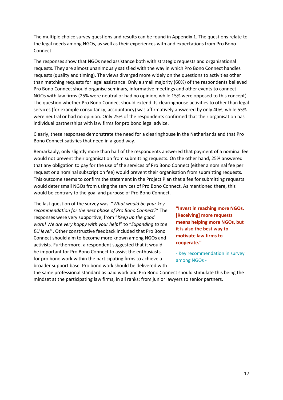The multiple choice survey questions and results can be found in Appendix 1. The questions relate to the legal needs among NGOs, as well as their experiences with and expectations from Pro Bono Connect.

The responses show that NGOs need assistance both with strategic requests and organisational requests. They are almost unanimously satisfied with the way in which Pro Bono Connect handles requests (quality and timing). The views diverged more widely on the questions to activities other than matching requests for legal assistance. Only a small majority (60%) of the respondents believed Pro Bono Connect should organise seminars, informative meetings and other events to connect NGOs with law firms (25% were neutral or had no opinion, while 15% were opposed to this concept). The question whether Pro Bono Connect should extend its clearinghouse activities to other than legal services (for example consultancy, accountancy) was affirmatively answered by only 40%, while 55% were neutral or had no opinion. Only 25% of the respondents confirmed that their organisation has individual partnerships with law firms for pro bono legal advice.

Clearly, these responses demonstrate the need for a clearinghouse in the Netherlands and that Pro Bono Connect satisfies that need in a good way.

Remarkably, only slightly more than half of the respondents answered that payment of a nominal fee would not prevent their organisation from submitting requests. On the other hand, 25% answered that any obligation to pay for the use of the services of Pro Bono Connect (either a nominal fee per request or a nominal subscription fee) would prevent their organisation from submitting requests. This outcome seems to confirm the statement in the Project Plan that a fee for submitting requests would deter small NGOs from using the services of Pro Bono Connect. As mentioned there, this would be contrary to the goal and purpose of Pro Bono Connect.

The last question of the survey was: "*What would be your key recommendation for the next phase of Pro Bono Connect?*" The responses were very supportive, from "*Keep up the good work! We are very happy with your help!*" to "*Expanding to the EU level*". Other constructive feedback included that Pro Bono Connect should aim to become more known among NGOs and activists. Furthermore, a respondent suggested that it would be important for Pro Bono Connect to assist the enthusiasts for pro bono work within the participating firms to achieve a broader support base. Pro bono work should be delivered with

**"Invest in reaching more NGOs. [Receiving] more requests means helping more NGOs, but it is also the best way to motivate law firms to cooperate."**

- Key recommendation in survey among NGOs -

the same professional standard as paid work and Pro Bono Connect should stimulate this being the mindset at the participating law firms, in all ranks: from junior lawyers to senior partners.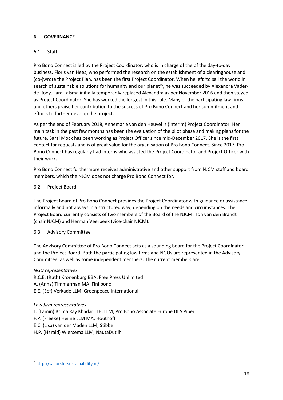# <span id="page-23-0"></span>**6 GOVERNANCE**

# <span id="page-23-1"></span>6.1 Staff

Pro Bono Connect is led by the Project Coordinator, who is in charge of the of the day-to-day business. Floris van Hees, who performed the research on the establishment of a clearinghouse and (co-)wrote the Project Plan, has been the first Project Coordinator. When he left 'to sail the world in search of sustainable solutions for humanity and our planet' 5 , he was succeeded by Alexandra Vaderde Rooy. Lara Talsma initially temporarily replaced Alexandra as per November 2016 and then stayed as Project Coordinator. She has worked the longest in this role. Many of the participating law firms and others praise her contribution to the success of Pro Bono Connect and her commitment and efforts to further develop the project.

As per the end of February 2018, Annemarie van den Heuvel is (interim) Project Coordinator. Her main task in the past few months has been the evaluation of the pilot phase and making plans for the future. Sarai Mock has been working as Project Officer since mid-December 2017. She is the first contact for requests and is of great value for the organisation of Pro Bono Connect. Since 2017, Pro Bono Connect has regularly had interns who assisted the Project Coordinator and Project Officer with their work.

Pro Bono Connect furthermore receives administrative and other support from NJCM staff and board members, which the NJCM does not charge Pro Bono Connect for.

#### <span id="page-23-2"></span>6.2 Project Board

The Project Board of Pro Bono Connect provides the Project Coordinator with guidance or assistance, informally and not always in a structured way, depending on the needs and circumstances. The Project Board currently consists of two members of the Board of the NJCM: Ton van den Brandt (chair NJCM) and Herman Veerbeek (vice-chair NJCM).

#### <span id="page-23-3"></span>6.3 Advisory Committee

The Advisory Committee of Pro Bono Connect acts as a sounding board for the Project Coordinator and the Project Board. Both the participating law firms and NGOs are represented in the Advisory Committee, as well as some independent members. The current members are:

#### *NGO representatives*

R.C.E. (Ruth) Kronenburg BBA, Free Press Unlimited

- A. (Anna) Timmerman MA, Fini bono
- E.E. (Eef) Verkade LLM, Greenpeace International

#### *Law firm representatives*

- L. (Lamin) Brima Ray Khadar LLB, LLM, Pro Bono Associate Europe DLA Piper
- F.P. (Freeke) Heijne LLM MA, Houthoff
- E.C. (Lisa) van der Maden LLM, Stibbe
- H.P. (Harald) Wiersema LLM, NautaDutilh

<sup>1</sup> <sup>5</sup> <http://sailorsforsustainability.nl/>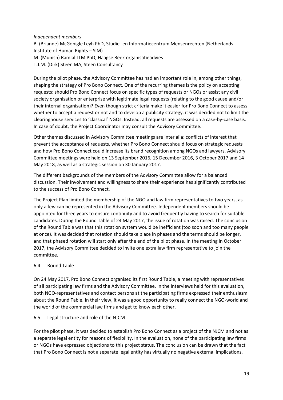#### *Independent members*

B. (Brianne) McGonigle Leyh PhD, Studie- en Informatiecentrum Mensenrechten (Netherlands Institute of Human Rights – SIM) M. (Munish) Ramlal LLM PhD, Haagse Beek organisatieadvies T.J.M. (Dirk) Steen MA, Steen Consultancy

During the pilot phase, the Advisory Committee has had an important role in, among other things, shaping the strategy of Pro Bono Connect. One of the recurring themes is the policy on accepting requests: should Pro Bono Connect focus on specific types of requests or NGOs or assist any civil society organisation or enterprise with legitimate legal requests (relating to the good cause and/or their internal organisation)? Even though strict criteria make it easier for Pro Bono Connect to assess whether to accept a request or not and to develop a publicity strategy, it was decided not to limit the clearinghouse services to 'classical' NGOs. Instead, all requests are assessed on a case-by-case basis. In case of doubt, the Project Coordinator may consult the Advisory Committee.

Other themes discussed in Advisory Committee meetings are inter alia: conflicts of interest that prevent the acceptance of requests, whether Pro Bono Connect should focus on strategic requests and how Pro Bono Connect could increase its brand recognition among NGOs and lawyers. Advisory Committee meetings were held on 13 September 2016, 15 December 2016, 3 October 2017 and 14 May 2018, as well as a strategic session on 30 January 2017.

The different backgrounds of the members of the Advisory Committee allow for a balanced discussion. Their involvement and willingness to share their experience has significantly contributed to the success of Pro Bono Connect.

The Project Plan limited the membership of the NGO and law firm representatives to two years, as only a few can be represented in the Advisory Committee. Independent members should be appointed for three years to ensure continuity and to avoid frequently having to search for suitable candidates. During the Round Table of 24 May 2017, the issue of rotation was raised. The conclusion of the Round Table was that this rotation system would be inefficient (too soon and too many people at once). It was decided that rotation should take place in phases and the terms should be longer, and that phased rotation will start only after the end of the pilot phase. In the meeting in October 2017, the Advisory Committee decided to invite one extra law firm representative to join the committee.

#### <span id="page-24-0"></span>6.4 Round Table

On 24 May 2017, Pro Bono Connect organised its first Round Table, a meeting with representatives of all participating law firms and the Advisory Committee. In the interviews held for this evaluation, both NGO-representatives and contact persons at the participating firms expressed their enthusiasm about the Round Table. In their view, it was a good opportunity to really connect the NGO-world and the world of the commercial law firms and get to know each other.

#### <span id="page-24-1"></span>6.5 Legal structure and role of the NJCM

For the pilot phase, it was decided to establish Pro Bono Connect as a project of the NJCM and not as a separate legal entity for reasons of flexibility. In the evaluation, none of the participating law firms or NGOs have expressed objections to this project status. The conclusion can be drawn that the fact that Pro Bono Connect is not a separate legal entity has virtually no negative external implications.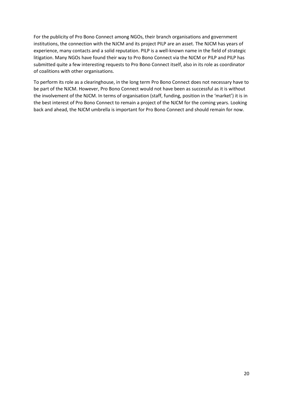For the publicity of Pro Bono Connect among NGOs, their branch organisations and government institutions, the connection with the NJCM and its project PILP are an asset. The NJCM has years of experience, many contacts and a solid reputation. PILP is a well-known name in the field of strategic litigation. Many NGOs have found their way to Pro Bono Connect via the NJCM or PILP and PILP has submitted quite a few interesting requests to Pro Bono Connect itself, also in its role as coordinator of coalitions with other organisations.

To perform its role as a clearinghouse, in the long term Pro Bono Connect does not necessary have to be part of the NJCM. However, Pro Bono Connect would not have been as successful as it is without the involvement of the NJCM. In terms of organisation (staff, funding, position in the 'market') it is in the best interest of Pro Bono Connect to remain a project of the NJCM for the coming years. Looking back and ahead, the NJCM umbrella is important for Pro Bono Connect and should remain for now.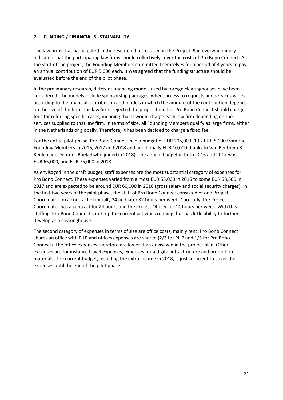#### <span id="page-26-0"></span>**7 FUNDING / FINANCIAL SUSTAINABILITY**

The law firms that participated in the research that resulted in the Project Plan overwhelmingly indicated that the participating law firms should collectively cover the costs of Pro Bono Connect. At the start of the project, the Founding Members committed themselves for a period of 3 years to pay an annual contribution of EUR 5,000 each. It was agreed that the funding structure should be evaluated before the end of the pilot phase.

In the preliminary research, different financing models used by foreign clearinghouses have been considered. The models include sponsorship packages, where access to requests and services varies according to the financial contribution and models in which the amount of the contribution depends on the size of the firm. The law firms rejected the proposition that Pro Bono Connect should charge fees for referring specific cases, meaning that it would charge each law firm depending on the services supplied to that law firm. In terms of size, all Founding Members qualify as large firms, either in the Netherlands or globally. Therefore, it has been decided to charge a fixed fee.

For the entire pilot phase, Pro Bono Connect had a budget of EUR 205,000 (13 x EUR 5,000 from the Founding Members in 2016, 2017 and 2018 and additionally EUR 10,000 thanks to Van Benthem & Keulen and Dentons Boekel who joined in 2018). The annual budget in both 2016 and 2017 was EUR 65,000, and EUR 75,000 in 2018.

As envisaged in the draft budget, staff expenses are the most substantial category of expenses for Pro Bono Connect. These expenses varied from almost EUR 55,000 in 2016 to some EUR 58,500 in 2017 and are expected to be around EUR 60,000 in 2018 (gross salary and social security charges). In the first two years of the pilot phase, the staff of Pro Bono Connect consisted of one Project Coordinator on a contract of initially 24 and later 32 hours per week. Currently, the Project Coordinator has a contract for 24 hours and the Project Officer for 14 hours per week. With this staffing, Pro Bono Connect can keep the current activities running, but has little ability to further develop as a clearinghouse.

The second category of expenses in terms of size are office costs, mainly rent. Pro Bono Connect shares an office with PILP and offices expenses are shared (2/3 for PILP and 1/3 for Pro Bono Connect). The office expenses therefore are lower than envisaged in the project plan. Other expenses are for instance travel expenses, expenses for a digital infrastructure and promotion materials. The current budget, including the extra income in 2018, is just sufficient to cover the expenses until the end of the pilot phase.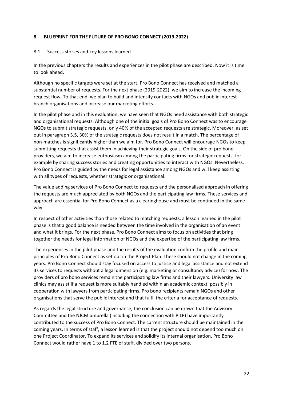#### <span id="page-27-0"></span>**8 BLUEPRINT FOR THE FUTURE OF PRO BONO CONNECT (2019-2022)**

#### <span id="page-27-1"></span>8.1 Success stories and key lessons learned

In the previous chapters the results and experiences in the pilot phase are described. Now it is time to look ahead.

Although no specific targets were set at the start, Pro Bono Connect has received and matched a substantial number of requests. For the next phase (2019-2022), we aim to increase the incoming request flow. To that end, we plan to build and intensify contacts with NGOs and public interest branch organisations and increase our marketing efforts.

In the pilot phase and in this evaluation, we have seen that NGOs need assistance with both strategic and organisational requests. Although one of the initial goals of Pro Bono Connect was to encourage NGOs to submit strategic requests, only 40% of the accepted requests are strategic. Moreover, as set out in paragraph [3.5,](#page-12-1) 30% of the strategic requests does not result in a match. The percentage of non-matches is significantly higher than we aim for. Pro Bono Connect will encourage NGOs to keep submitting requests that assist them in achieving their strategic goals. On the side of pro bono providers, we aim to increase enthusiasm among the participating firms for strategic requests, for example by sharing success stories and creating opportunities to interact with NGOs. Nevertheless, Pro Bono Connect is guided by the needs for legal assistance among NGOs and will keep assisting with all types of requests, whether strategic or organisational.

The value adding services of Pro Bono Connect to requests and the personalised approach in offering the requests are much appreciated by both NGOs and the participating law firms. These services and approach are essential for Pro Bono Connect as a clearinghouse and must be continued in the same way.

In respect of other activities than those related to matching requests, a lesson learned in the pilot phase is that a good balance is needed between the time involved in the organisation of an event and what it brings. For the next phase, Pro Bono Connect aims to focus on activities that bring together the needs for legal information of NGOs and the expertise of the participating law firms.

The experiences in the pilot phase and the results of the evaluation confirm the profile and main principles of Pro Bono Connect as set out in the Project Plan. These should not change in the coming years. Pro Bono Connect should stay focused on access to justice and legal assistance and not extend its services to requests without a legal dimension (e.g. marketing or consultancy advice) for now. The providers of pro bono services remain the participating law firms and their lawyers. University law clinics may assist if a request is more suitably handled within an academic context, possibly in cooperation with lawyers from participating firms. Pro bono recipients remain NGOs and other organisations that serve the public interest and that fulfil the criteria for acceptance of requests.

As regards the legal structure and governance, the conclusion can be drawn that the Advisory Committee and the NJCM umbrella (including the connection with PILP) have importantly contributed to the success of Pro Bono Connect. The current structure should be maintained in the coming years. In terms of staff, a lesson learned is that the project should not depend too much on one Project Coordinator. To expand its services and solidify its internal organisation, Pro Bono Connect would rather have 1 to 1.2 FTE of staff, divided over two persons.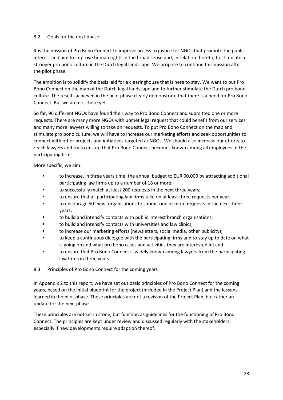#### <span id="page-28-0"></span>8.2 Goals for the next phase

It is the mission of Pro Bono Connect to improve access to justice for NGOs that promote the public interest and aim to improve human rights in the broad sense and, in relation thereto, to stimulate a stronger pro bono culture in the Dutch legal landscape. We propose to continue this mission after the pilot phase.

The ambition is to solidify the basis laid for a clearinghouse that is here to stay. We want to put Pro Bono Connect on the map of the Dutch legal landscape and to further stimulate the Dutch pro bono culture. The results achieved in the pilot phase clearly demonstrate that there is a need for Pro Bono Connect. But we are not there yet….

So far, 96 different NGOs have found their way to Pro Bono Connect and submitted one or more requests. There are many more NGOs with unmet legal request that could benefit from our services and many more lawyers willing to take on requests. To put Pro Bono Connect on the map and stimulate pro bono culture, we will have to increase our marketing efforts and seek opportunities to connect with other projects and initiatives targeted at NGOs. We should also increase our efforts to reach lawyers and try to ensure that Pro Bono Connect becomes known among all employees of the participating firms.

More specific, we aim:

- to increase, in three years time, the annual budget to EUR 90,000 by attracting additional participating law firms up to a number of 18 or more;
- to successfully match at least 200 requests in the next three years;
- to ensure that all participating law firms take on at least three requests per year;
- to encourage 50 'new' organisations to submit one or more requests in the next three years;
- to build and intensify contacts with public interest branch organisations;
- to build and intensify contacts with universities and law clinics;
- to increase our marketing efforts (newsletters, social media, other publicity);
- to keep a continuous dialogue with the participating firms and to stay up to date on what is going on and what pro bono cases and activities they are interested in; and
- to ensure that Pro Bono Connect is widely known among lawyers from the participating law firms in three years.

#### <span id="page-28-1"></span>8.3 Principles of Pro Bono Connect for the coming years

In Appendix 2 to this report, we have set out basic principles of Pro Bono Connect for the coming years, based on the initial blueprint for the project (included in the Project Plan) and the lessons learned in the pilot phase. These principles are not a revision of the Project Plan, but rather an update for the next phase.

These principles are not set in stone, but function as guidelines for the functioning of Pro Bono Connect. The principles are kept under review and discussed regularly with the stakeholders, especially if new developments require adaption thereof.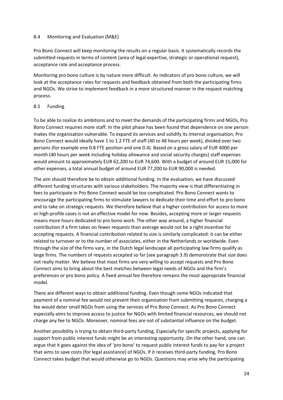#### <span id="page-29-0"></span>8.4 Monitoring and Evaluation (M&E)

Pro Bono Connect will keep monitoring the results on a regular basis. It systematically records the submitted requests in terms of content (area of legal expertise, strategic or operational request), acceptance rate and acceptance process.

Monitoring pro bono culture is by nature more difficult. As indicators of pro bono culture, we will look at the acceptance rates for requests and feedback obtained from both the participating firms and NGOs. We strive to implement feedback in a more structured manner in the request matching process.

#### <span id="page-29-1"></span>8.5 Funding

To be able to realize its ambitions and to meet the demands of the participating firms and NGOs, Pro Bono Connect requires more staff. In the pilot phase has been found that dependence on one person makes the organisation vulnerable. To expand its services and solidify its internal organisation, Pro Bono Connect would ideally have 1 to 1.2 FTE of staff (40 to 48 hours per week), divided over two persons (for example one 0.8 FTE position and one 0.4). Based on a gross salary of EUR 4000 per month (40 hours per week including holiday allowance and social security charges) staff expenses would amount to approximately EUR 62,200 to EUR 74,600. With a budget of around EUR 15,000 for other expenses, a total annual budget of around EUR 77,200 to EUR 90,000 is needed.

The aim should therefore be to obtain additional funding. In the evaluation, we have discussed different funding structures with various stakeholders. The majority view is that differentiating in fees to participate in Pro Bono Connect would be too complicated. Pro Bono Connect wants to encourage the participating firms to stimulate lawyers to dedicate their time and effort to pro bono and to take on strategic requests. We therefore believe that a higher contribution for access to more or high-profile cases is not an effective model for now. Besides, accepting more or larger requests means more hours dedicated to pro bono work. The other way around, a higher financial contribution if a firm takes on fewer requests than average would not be a right incentive for accepting requests. A financial contribution related to size is similarly complicated: it can be either related to turnover or to the number of associates, either in the Netherlands or worldwide. Even through the size of the firms vary, in the Dutch legal landscape all participating law firms qualify as large firms. The numbers of requests accepted so far (see paragraph [3.9\)](#page-15-1) demonstrate that size does not really matter. We believe that most firms are very willing to accept requests and Pro Bono Connect aims to bring about the best matches between legal needs of NGOs and the firm's preferences or pro bono policy. A fixed annual fee therefore remains the most appropriate financial model.

There are different ways to obtain additional funding. Even though some NGOs indicated that payment of a nominal fee would not prevent their organisation from submitting requests, charging a fee would deter small NGOs from using the services of Pro Bono Connect. As Pro Bono Connect especially aims to improve access to justice for NGOs with limited financial resources, we should not charge any fee to NGOs. Moreover, nominal fees are not of substantial influence on the budget.

Another possibility is trying to obtain third-party funding. Especially for specific projects, applying for support from public interest funds might be an interesting opportunity. On the other hand, one can argue that it goes against the idea of 'pro bono' to request public interest funds to pay for a project that aims to save costs (for legal assistance) of NGOs. If it receives third-party funding, Pro Bono Connect takes budget that would otherwise go to NGOs. Questions may arise why the participating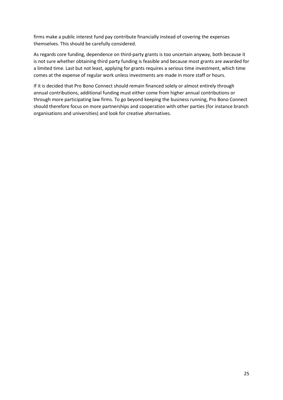firms make a public interest fund pay contribute financially instead of covering the expenses themselves. This should be carefully considered.

As regards core funding, dependence on third-party grants is too uncertain anyway, both because it is not sure whether obtaining third party funding is feasible and because most grants are awarded for a limited time. Last but not least, applying for grants requires a serious time investment, which time comes at the expense of regular work unless investments are made in more staff or hours.

If it is decided that Pro Bono Connect should remain financed solely or almost entirely through annual contributions, additional funding must either come from higher annual contributions or through more participating law firms. To go beyond keeping the business running, Pro Bono Connect should therefore focus on more partnerships and cooperation with other parties (for instance branch organisations and universities) and look for creative alternatives.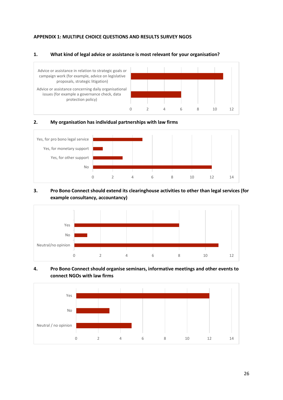#### <span id="page-31-0"></span>**APPENDIX 1: MULTIPLE CHOICE QUESTIONS AND RESULTS SURVEY NGOS**

#### **1. What kind of legal advice or assistance is most relevant for your organisation?**



#### **2. My organisation has individual partnerships with law firms**



### **3. Pro Bono Connect should extend its clearinghouse activities to other than legal services (for example consultancy, accountancy)**



#### **4. Pro Bono Connect should organise seminars, informative meetings and other events to connect NGOs with law firms**

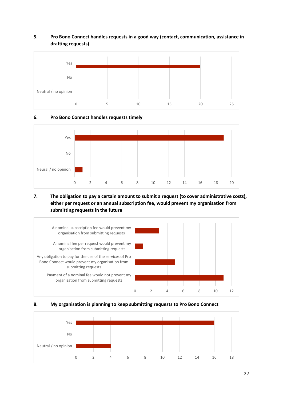# **5. Pro Bono Connect handles requests in a good way (contact, communication, assistance in drafting requests)**



# **6. Pro Bono Connect handles requests timely**



# **7. The obligation to pay a certain amount to submit a request (to cover administrative costs), either per request or an annual subscription fee, would prevent my organisation from submitting requests in the future**





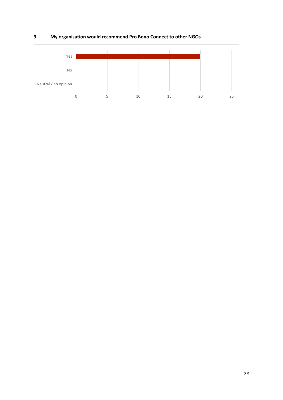

# **9. My organisation would recommend Pro Bono Connect to other NGOs**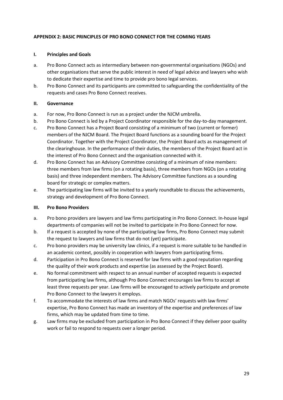#### <span id="page-34-0"></span>**APPENDIX 2: BASIC PRINCIPLES OF PRO BONO CONNECT FOR THE COMING YEARS**

#### **I. Principles and Goals**

- a. Pro Bono Connect acts as intermediary between non-governmental organisations (NGOs) and other organisations that serve the public interest in need of legal advice and lawyers who wish to dedicate their expertise and time to provide pro bono legal services.
- b. Pro Bono Connect and its participants are committed to safeguarding the confidentiality of the requests and cases Pro Bono Connect receives.

#### **II. Governance**

- a. For now, Pro Bono Connect is run as a project under the NJCM umbrella.
- b. Pro Bono Connect is led by a Project Coordinator responsible for the day-to-day management.
- c. Pro Bono Connect has a Project Board consisting of a minimum of two (current or former) members of the NJCM Board. The Project Board functions as a sounding board for the Project Coordinator. Together with the Project Coordinator, the Project Board acts as management of the clearinghouse. In the performance of their duties, the members of the Project Board act in the interest of Pro Bono Connect and the organisation connected with it.
- d. Pro Bono Connect has an Advisory Committee consisting of a minimum of nine members: three members from law firms (on a rotating basis), three members from NGOs (on a rotating basis) and three independent members. The Advisory Committee functions as a sounding board for strategic or complex matters.
- e. The participating law firms will be invited to a yearly roundtable to discuss the achievements, strategy and development of Pro Bono Connect.

#### **III. Pro Bono Providers**

- a. Pro bono providers are lawyers and law firms participating in Pro Bono Connect. In-house legal departments of companies will not be invited to participate in Pro Bono Connect for now.
- b. If a request is accepted by none of the participating law firms, Pro Bono Connect may submit the request to lawyers and law firms that do not (yet) participate.
- c. Pro bono providers may be university law clinics, if a request is more suitable to be handled in an academic context, possibly in cooperation with lawyers from participating firms.
- d. Participation in Pro Bono Connect is reserved for law firms with a good reputation regarding the quality of their work products and expertise (as assessed by the Project Board).
- e. No formal commitment with respect to an annual number of accepted requests is expected from participating law firms, although Pro Bono Connect encourages law firms to accept at least three requests per year. Law firms will be encouraged to actively participate and promote Pro Bono Connect to the lawyers it employs.
- f. To accommodate the interests of law firms and match NGOs' requests with law firms' expertise, Pro Bono Connect has made an inventory of the expertise and preferences of law firms, which may be updated from time to time.
- g. Law firms may be excluded from participation in Pro Bono Connect if they deliver poor quality work or fail to respond to requests over a longer period.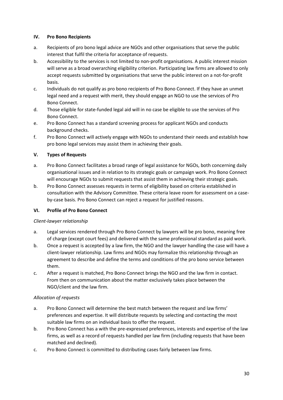### **IV. Pro Bono Recipients**

- a. Recipients of pro bono legal advice are NGOs and other organisations that serve the public interest that fulfil the criteria for acceptance of requests.
- b. Accessibility to the services is not limited to non-profit organisations. A public interest mission will serve as a broad overarching eligibility criterion. Participating law firms are allowed to only accept requests submitted by organisations that serve the public interest on a not-for-profit basis.
- c. Individuals do not qualify as pro bono recipients of Pro Bono Connect. If they have an unmet legal need and a request with merit, they should engage an NGO to use the services of Pro Bono Connect.
- d. Those eligible for state-funded legal aid will in no case be eligible to use the services of Pro Bono Connect.
- e. Pro Bono Connect has a standard screening process for applicant NGOs and conducts background checks.
- f. Pro Bono Connect will actively engage with NGOs to understand their needs and establish how pro bono legal services may assist them in achieving their goals.

# **V. Types of Requests**

- a. Pro Bono Connect facilitates a broad range of legal assistance for NGOs, both concerning daily organisational issues and in relation to its strategic goals or campaign work. Pro Bono Connect will encourage NGOs to submit requests that assist them in achieving their strategic goals.
- b. Pro Bono Connect assesses requests in terms of eligibility based on criteria established in consultation with the Advisory Committee. These criteria leave room for assessment on a caseby-case basis. Pro Bono Connect can reject a request for justified reasons.

# **VI. Profile of Pro Bono Connect**

#### *Client-lawyer relationship*

- a. Legal services rendered through Pro Bono Connect by lawyers will be pro bono, meaning free of charge (except court fees) and delivered with the same professional standard as paid work.
- b. Once a request is accepted by a law firm, the NGO and the lawyer handling the case will have a client-lawyer relationship. Law firms and NGOs may formalize this relationship through an agreement to describe and define the terms and conditions of the pro bono service between them.
- c. After a request is matched, Pro Bono Connect brings the NGO and the law firm in contact. From then on communication about the matter exclusively takes place between the NGO/client and the law firm.

# *Allocation of requests*

- a. Pro Bono Connect will determine the best match between the request and law firms' preferences and expertise. It will distribute requests by selecting and contacting the most suitable law firms on an individual basis to offer the request.
- b. Pro Bono Connect has a with the pre-expressed preferences, interests and expertise of the law firms, as well as a record of requests handled per law firm (including requests that have been matched and declined).
- c. Pro Bono Connect is committed to distributing cases fairly between law firms.